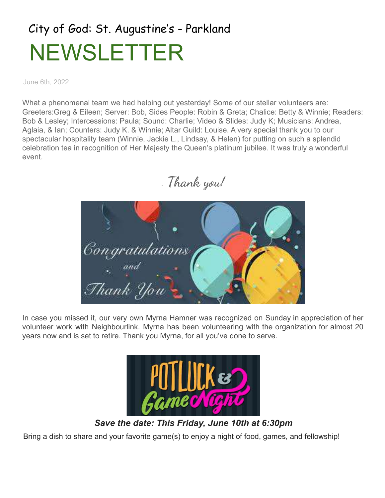## City of God: St. Augustine's - Parkland NEWSLETTER

June 6th, 2022

What a phenomenal team we had helping out yesterday! Some of our stellar volunteers are: Greeters:Greg & Eileen; Server: Bob, Sides People: Robin & Greta; Chalice: Betty & Winnie; Readers: Bob & Lesley; Intercessions: Paula; Sound: Charlie; Video & Slides: Judy K; Musicians: Andrea, Aglaia, & Ian; Counters: Judy K. & Winnie; Altar Guild: Louise. A very special thank you to our spectacular hospitality team (Winnie, Jackie L., Lindsay, & Helen) for putting on such a splendid celebration tea in recognition of Her Majesty the Queen's platinum jubilee. It was truly a wonderful event.

. **Thank you!**



In case you missed it, our very own Myrna Hamner was recognized on Sunday in appreciation of her volunteer work with Neighbourlink. Myrna has been volunteering with the organization for almost 20 years now and is set to retire. Thank you Myrna, for all you've done to serve.



*Save the date: This Friday, June 10th at 6:30pm* Bring a dish to share and your favorite game(s) to enjoy a night of food, games, and fellowship!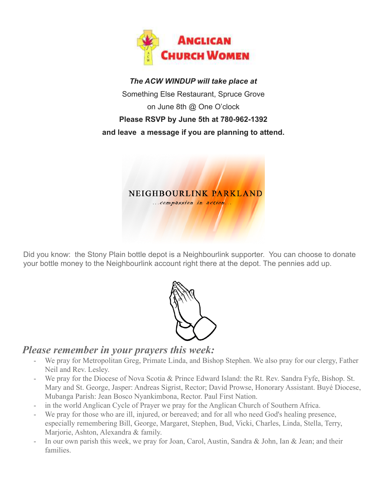

*The ACW WINDUP will take place at* Something Else Restaurant, Spruce Grove on June 8th @ One O'clock **Please RSVP by June 5th at 780-962-1392 and leave a message if you are planning to attend.**



Did you know: the Stony Plain bottle depot is a Neighbourlink supporter. You can choose to donate your bottle money to the Neighbourlink account right there at the depot. The pennies add up.



## *Please remember in your prayers this week:*

- We pray for Metropolitan Greg, Primate Linda, and Bishop Stephen. We also pray for our clergy, Father Neil and Rev. Lesley.
- We pray for the Diocese of Nova Scotia & Prince Edward Island: the Rt. Rev. Sandra Fyfe, Bishop. St. Mary and St. George, Jasper: Andreas Sigrist, Rector; David Prowse, Honorary Assistant. Buyé Diocese, Mubanga Parish: Jean Bosco Nyankimbona, Rector. Paul First Nation.
- in the world Anglican Cycle of Prayer we pray for the Anglican Church of Southern Africa.
- We pray for those who are ill, injured, or bereaved; and for all who need God's healing presence, especially remembering Bill, George, Margaret, Stephen, Bud, Vicki, Charles, Linda, Stella, Terry, Marjorie, Ashton, Alexandra & family.
- In our own parish this week, we pray for Joan, Carol, Austin, Sandra & John, Ian & Jean; and their families.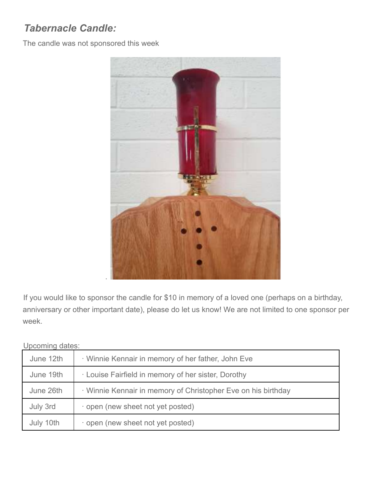## *Tabernacle Candle:*

The candle was not sponsored this week



If you would like to sponsor the candle for \$10 in memory of a loved one (perhaps on a birthday, anniversary or other important date), please do let us know! We are not limited to one sponsor per week.

Upcoming dates:

| June 12th | · Winnie Kennair in memory of her father, John Eve            |
|-----------|---------------------------------------------------------------|
| June 19th | Louise Fairfield in memory of her sister, Dorothy             |
| June 26th | · Winnie Kennair in memory of Christopher Eve on his birthday |
| July 3rd  | open (new sheet not yet posted)                               |
| July 10th | open (new sheet not yet posted)                               |